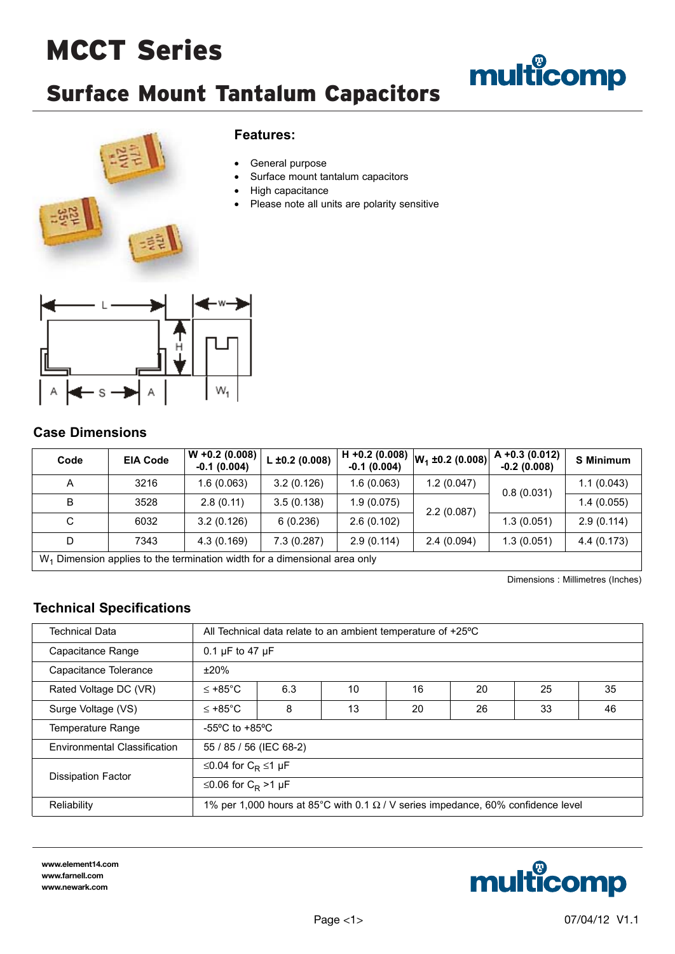# MCCT Series

### Surface Mount Tantalum Capacitors





#### **Features:**

- General purpose
- Surface mount tantalum capacitors
- High capacitance
- Please note all units are polarity sensitive



### **Case Dimensions**

| Code                                                                      | <b>EIA Code</b> | $W + 0.2 (0.008)$<br>$-0.1(0.004)$ | $L \pm 0.2$ (0.008) | $H + 0.2$ (0.008)<br>$-0.1(0.004)$ | $W_1$ ±0.2 (0.008) | $A + 0.3 (0.012)$<br>$-0.2(0.008)$ | <b>S</b> Minimum |
|---------------------------------------------------------------------------|-----------------|------------------------------------|---------------------|------------------------------------|--------------------|------------------------------------|------------------|
| A                                                                         | 3216            | 1.6(0.063)                         | 3.2(0.126)          | 1.6(0.063)                         | 1.2(0.047)         | 0.8(0.031)                         | 1.1(0.043)       |
| B                                                                         | 3528            | 2.8(0.11)                          | 3.5(0.138)          | 1.9(0.075)                         | 2.2(0.087)         |                                    | 1.4(0.055)       |
| C                                                                         | 6032            | 3.2(0.126)                         | 6(0.236)            | 2.6(0.102)                         |                    | 1.3(0.051)                         | 2.9(0.114)       |
| D                                                                         | 7343            | 4.3 (0.169)                        | 7.3(0.287)          | 2.9(0.114)                         | 2.4(0.094)         | 1.3(0.051)                         | 4.4 (0.173)      |
| W. Dimension applies to the termination width for a dimensional area only |                 |                                    |                     |                                    |                    |                                    |                  |

W<sub>1</sub> Dimension applies to the termination width for a dimensional area only

Dimensions : Millimetres (Inches)

### **Technical Specifications**

| <b>Technical Data</b>        | All Technical data relate to an ambient temperature of +25 °C                           |     |    |    |    |    |    |
|------------------------------|-----------------------------------------------------------------------------------------|-----|----|----|----|----|----|
| Capacitance Range            | 0.1 $\mu$ F to 47 $\mu$ F                                                               |     |    |    |    |    |    |
| Capacitance Tolerance        | ±20%                                                                                    |     |    |    |    |    |    |
| Rated Voltage DC (VR)        | $≤ +85^{\circ}$ C                                                                       | 6.3 | 10 | 16 | 20 | 25 | 35 |
| Surge Voltage (VS)           | $≤ +85^{\circ}$ C                                                                       | 8   | 13 | 20 | 26 | 33 | 46 |
| Temperature Range            | -55 $\mathrm{^{\circ}C}$ to +85 $\mathrm{^{\circ}C}$                                    |     |    |    |    |    |    |
| Environmental Classification | 55 / 85 / 56 (IEC 68-2)                                                                 |     |    |    |    |    |    |
|                              | ≤0.04 for $C_R$ ≤1 µF                                                                   |     |    |    |    |    |    |
| <b>Dissipation Factor</b>    | ≤0.06 for $C_R$ >1 µF                                                                   |     |    |    |    |    |    |
| Reliability                  | 1% per 1,000 hours at 85°C with 0.1 $\Omega$ / V series impedance, 60% confidence level |     |    |    |    |    |    |

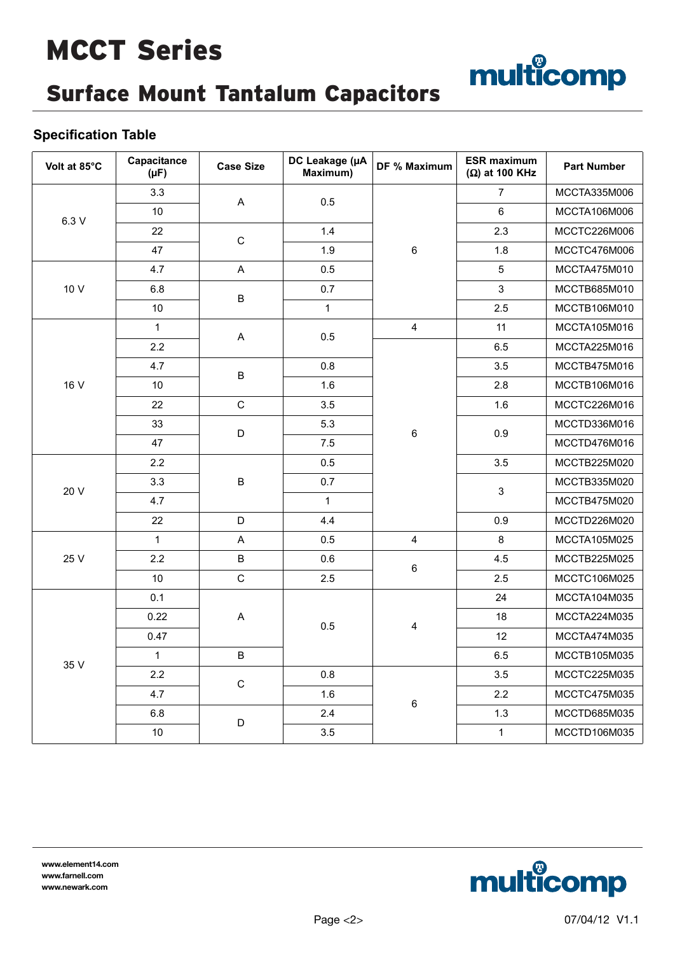## MCCT Series



## Surface Mount Tantalum Capacitors

### **Specification Table**

| Volt at 85°C | Capacitance<br>$(\mu F)$ | <b>Case Size</b>          | DC Leakage (µA<br>Maximum)                      | DF % Maximum            | <b>ESR maximum</b><br>$(\Omega)$ at 100 KHz                                                                        | <b>Part Number</b> |
|--------------|--------------------------|---------------------------|-------------------------------------------------|-------------------------|--------------------------------------------------------------------------------------------------------------------|--------------------|
|              | 3.3                      | $\sf A$                   | 0.5                                             |                         | $\overline{7}$                                                                                                     | MCCTA335M006       |
| 6.3 V        | 10                       |                           |                                                 |                         | $\,6\,$                                                                                                            | MCCTA106M006       |
|              | 22                       | $\mathsf C$               | 1.4                                             |                         | 2.3                                                                                                                | MCCTC226M006       |
|              | 47                       |                           | 1.9                                             | $\,6\,$                 | 1.8                                                                                                                | MCCTC476M006       |
|              | 4.7                      | $\overline{\mathsf{A}}$   | 0.5                                             |                         | 5                                                                                                                  | MCCTA475M010       |
| 10 V         | 6.8                      | $\sf B$                   | 0.7                                             |                         | 3                                                                                                                  | MCCTB685M010       |
|              | $10$                     |                           | $\mathbf{1}$                                    |                         | 2.5                                                                                                                | MCCTB106M010       |
|              | $\mathbf{1}$             | $\sf A$                   | 0.5                                             | $\overline{4}$          | 11                                                                                                                 | MCCTA105M016       |
|              | 2.2                      |                           |                                                 |                         | 6.5                                                                                                                | MCCTA225M016       |
|              | 4.7                      | $\sf B$                   | 0.8                                             |                         | 3.5<br>2.8<br>1.6<br>0.9<br>3.5<br>3<br>0.9<br>$\bf 8$<br>4.5<br>2.5<br>24<br>18<br>12<br>6.5<br>3.5<br>2.2<br>1.3 | MCCTB475M016       |
| 16 V         | 10                       |                           | 1.6<br>3.5<br>5.3<br>$\,6$<br>7.5<br>0.5<br>0.7 |                         | MCCTB106M016                                                                                                       |                    |
|              | 22                       | $\mathsf C$               |                                                 |                         |                                                                                                                    | MCCTC226M016       |
|              | 33                       | $\mathsf D$               |                                                 |                         |                                                                                                                    | MCCTD336M016       |
|              | 47                       |                           |                                                 |                         |                                                                                                                    | MCCTD476M016       |
|              | 2.2                      |                           |                                                 |                         |                                                                                                                    | MCCTB225M020       |
| 20 V         | 3.3                      | $\sf B$                   |                                                 |                         |                                                                                                                    | MCCTB335M020       |
|              | 4.7                      |                           | 1                                               |                         |                                                                                                                    | MCCTB475M020       |
|              | 22                       | D                         | 4.4                                             |                         |                                                                                                                    | MCCTD226M020       |
|              | $\mathbf{1}$             | $\boldsymbol{\mathsf{A}}$ | 0.5                                             | $\overline{4}$          |                                                                                                                    | MCCTA105M025       |
| 25 V         | 2.2                      | $\sf B$                   | 0.6                                             | $\,6\,$                 |                                                                                                                    | MCCTB225M025       |
|              | 10                       | $\mathsf{C}$              | 2.5                                             |                         |                                                                                                                    | MCCTC106M025       |
|              | 0.1                      | $\sf A$                   | 0.5                                             |                         |                                                                                                                    | MCCTA104M035       |
|              | 0.22                     |                           |                                                 | $\overline{\mathbf{4}}$ |                                                                                                                    | MCCTA224M035       |
|              | 0.47                     |                           |                                                 |                         |                                                                                                                    | MCCTA474M035       |
|              | $\mathbf{1}$             | $\sf B$                   |                                                 |                         |                                                                                                                    | MCCTB105M035       |
| 35 V         | 2.2                      | $\mathsf{C}$              | 0.8                                             |                         |                                                                                                                    | MCCTC225M035       |
|              | 4.7                      |                           | 1.6                                             | $\,6\,$                 |                                                                                                                    | MCCTC475M035       |
|              | 6.8                      | $\mathsf{D}$              | 2.4                                             |                         |                                                                                                                    | MCCTD685M035       |
|              | 10                       |                           | 3.5                                             |                         | $\mathbf{1}$                                                                                                       | MCCTD106M035       |